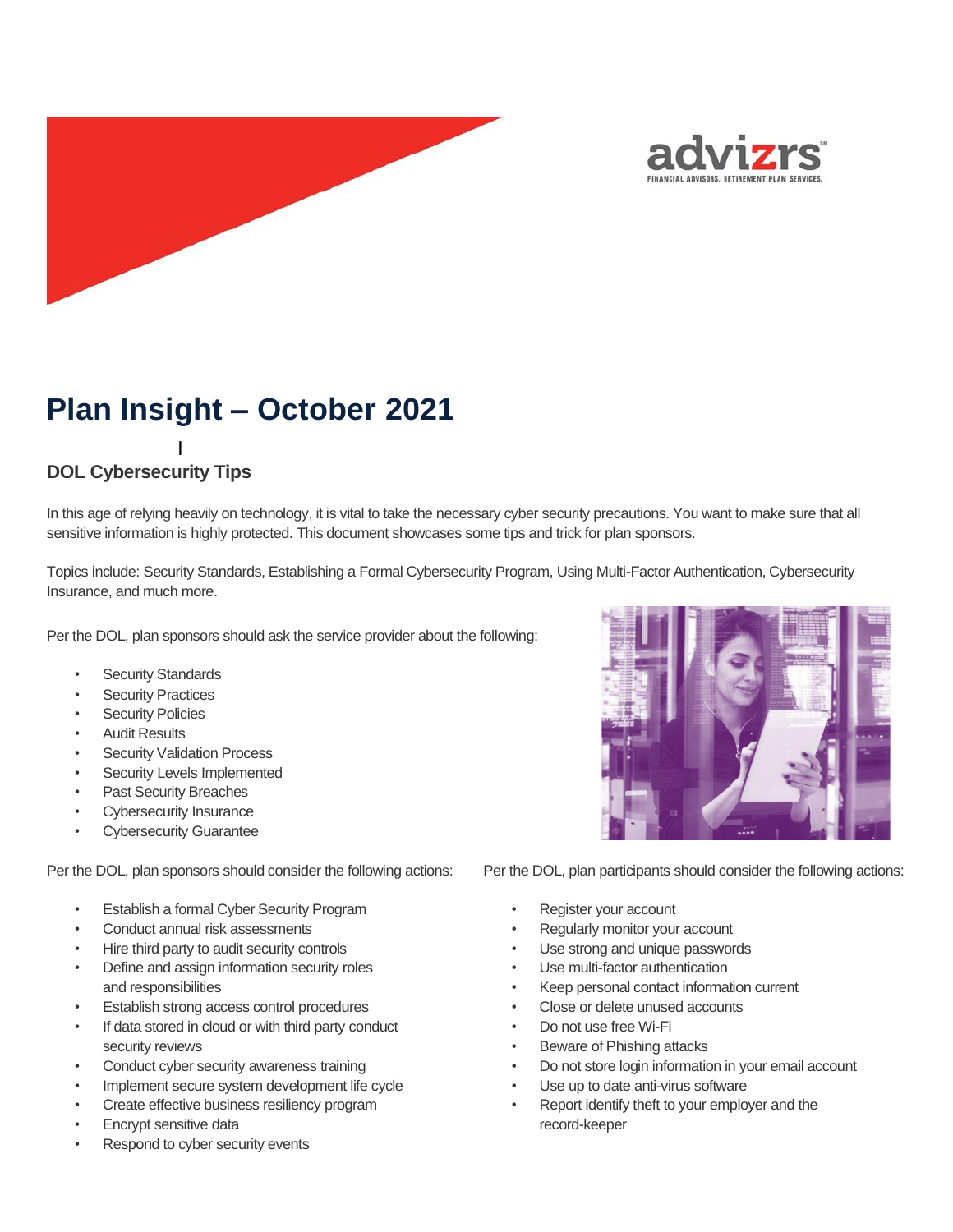



# **Plan Insight – October 2021**

# **DOL Cybersecurity Tips** I

In this age of relying heavily on technology, it is vital to take the necessary cyber security precautions. You want to make sure that all sensitive information is highly protected. This document showcases some tips and trick for plan sponsors.

Topics include: Security Standards, Establishing a Formal Cybersecurity Program, Using Multi-Factor Authentication, Cybersecurity Insurance, and much more. n

Per the DOL, plan sponsors should ask the service provider about the following: P

- Security Standards P ity<br>..
- Security Practices
- Security Policies
- Audit Results
- Security Validation Process
- Security Levels Implemented
- Past Security Breaches
- Cybersecurity Insurance
- **Cybersecurity Guarantee**

Per the DOL, plan sponsors should consider the following actions:

- Establish a formal Cyber Security Program
- Conduct annual risk assessments
- Hire third party to audit security controls
- Define and assign information security roles and responsibilities
- Establish strong access control procedures
- If data stored in cloud or with third party conduct security reviews
- Conduct cyber security awareness training
- Implement secure system development life cycle
- Create effective business resiliency program
- Encrypt sensitive data
- Respond to cyber security events



Per the DOL, plan participants should consider the following actions:

- Register your account
- Regularly monitor your account
- Use strong and unique passwords
- Use multi-factor authentication
- Keep personal contact information current
- Close or delete unused accounts
- Do not use free Wi-Fi
- Beware of Phishing attacks
- Do not store login information in your email account
- Use up to date anti-virus software
- Report identify theft to your employer and the record-keeper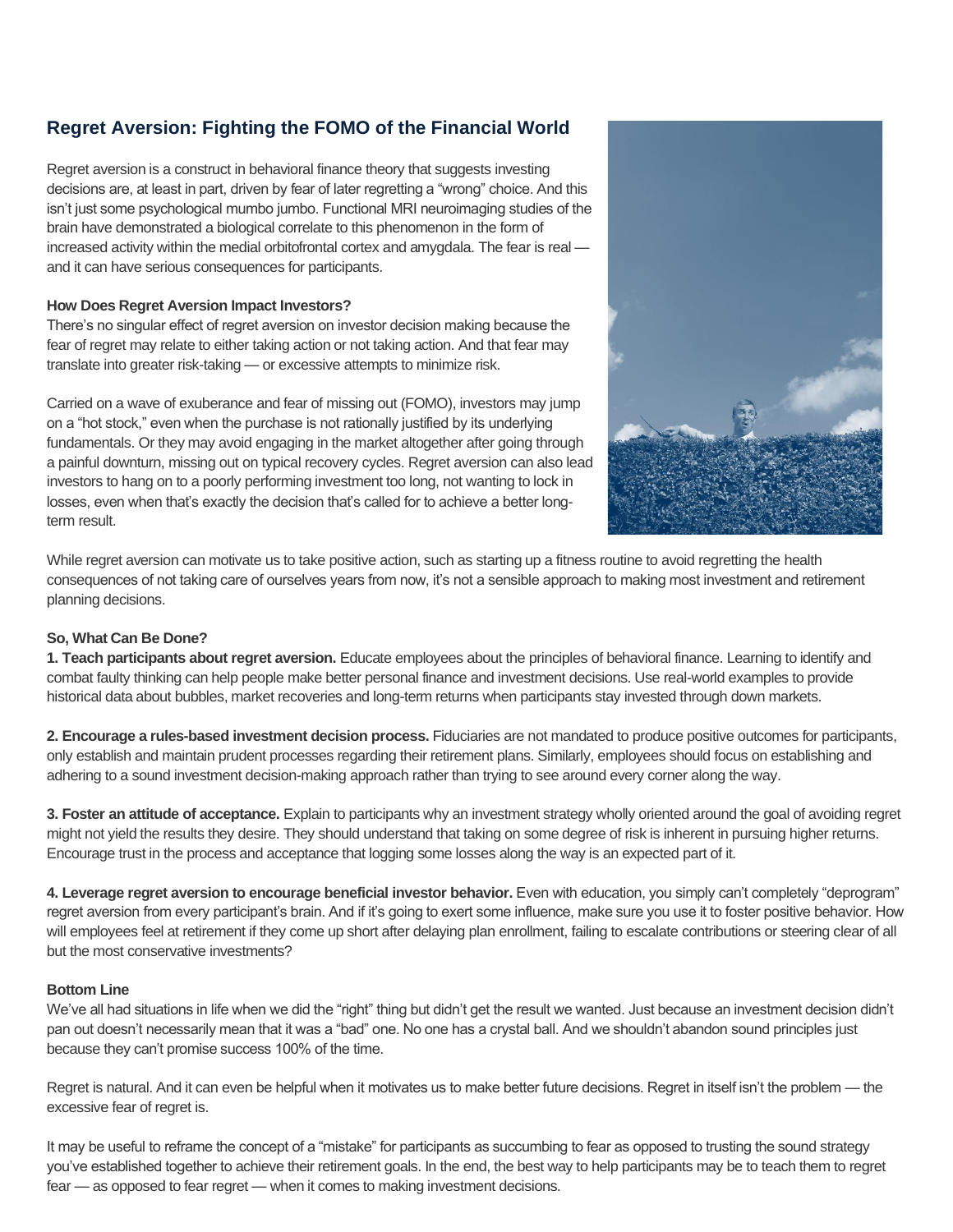# **Regret Aversion: Fighting the FOMO of the Financial World**

Regret aversion is a construct in behavioral finance theory that suggests investing decisions are, at least in part, driven by fear of later regretting a "wrong" choice. And this isn't just some psychological mumbo jumbo. Functional MRI neuroimaging studies of the brain have demonstrated a biological correlate to this phenomenon in the form of increased activity within the medial orbitofrontal cortex and amygdala. The fear is real and it can have serious consequences for participants.

## **How Does Regret Aversion Impact Investors?**

There's no singular effect of regret aversion on investor decision making because the fear of regret may relate to either taking action or not taking action. And that fear may translate into greater risk-taking — or excessive attempts to minimize risk.

Carried on a wave of exuberance and fear of missing out (FOMO), investors may jump on a "hot stock," even when the purchase is not rationally justified by its underlying fundamentals. Or they may avoid engaging in the market altogether after going through a painful downturn, missing out on typical recovery cycles. Regret aversion can also lead investors to hang on to a poorly performing investment too long, not wanting to lock in losses, even when that's exactly the decision that's called for to achieve a better longterm result.



While regret aversion can motivate us to take positive action, such as starting up a fitness routine to avoid regretting the health consequences of not taking care of ourselves years from now, it's not a sensible approach to making most investment and retirement planning decisions.

# **So, What Can Be Done?**

**1. Teach participants about regret aversion.** Educate employees about the principles of behavioral finance. Learning to identify and combat faulty thinking can help people make better personal finance and investment decisions. Use real-world examples to provide historical data about bubbles, market recoveries and long-term returns when participants stay invested through down markets.

**2. Encourage a rules-based investment decision process.** Fiduciaries are not mandated to produce positive outcomes for participants, only establish and maintain prudent processes regarding their retirement plans. Similarly, employees should focus on establishing and adhering to a sound investment decision-making approach rather than trying to see around every corner along the way.

**3. Foster an attitude of acceptance.** Explain to participants why an investment strategy wholly oriented around the goal of avoiding regret might not yield the results they desire. They should understand that taking on some degree of risk is inherent in pursuing higher returns. Encourage trust in the process and acceptance that logging some losses along the way is an expected part of it.

**4. Leverage regret aversion to encourage beneficial investor behavior.** Even with education, you simply can't completely "deprogram" regret aversion from every participant's brain. And if it's going to exert some influence, make sure you use it to foster positive behavior. How will employees feel at retirement if they come up short after delaying plan enrollment, failing to escalate contributions or steering clear of all but the most conservative investments?

# **Bottom Line**

We've all had situations in life when we did the "right" thing but didn't get the result we wanted. Just because an investment decision didn't pan out doesn't necessarily mean that it was a "bad" one. No one has a crystal ball. And we shouldn't abandon sound principles just because they can't promise success 100% of the time.

Regret is natural. And it can even be helpful when it motivates us to make better future decisions. Regret in itself isn't the problem — the excessive fear of regret is.

It may be useful to reframe the concept of a "mistake" for participants as succumbing to fear as opposed to trusting the sound strategy you've established together to achieve their retirement goals. In the end, the best way to help participants may be to teach them to regret fear — as opposed to fear regret — when it comes to making investment decisions.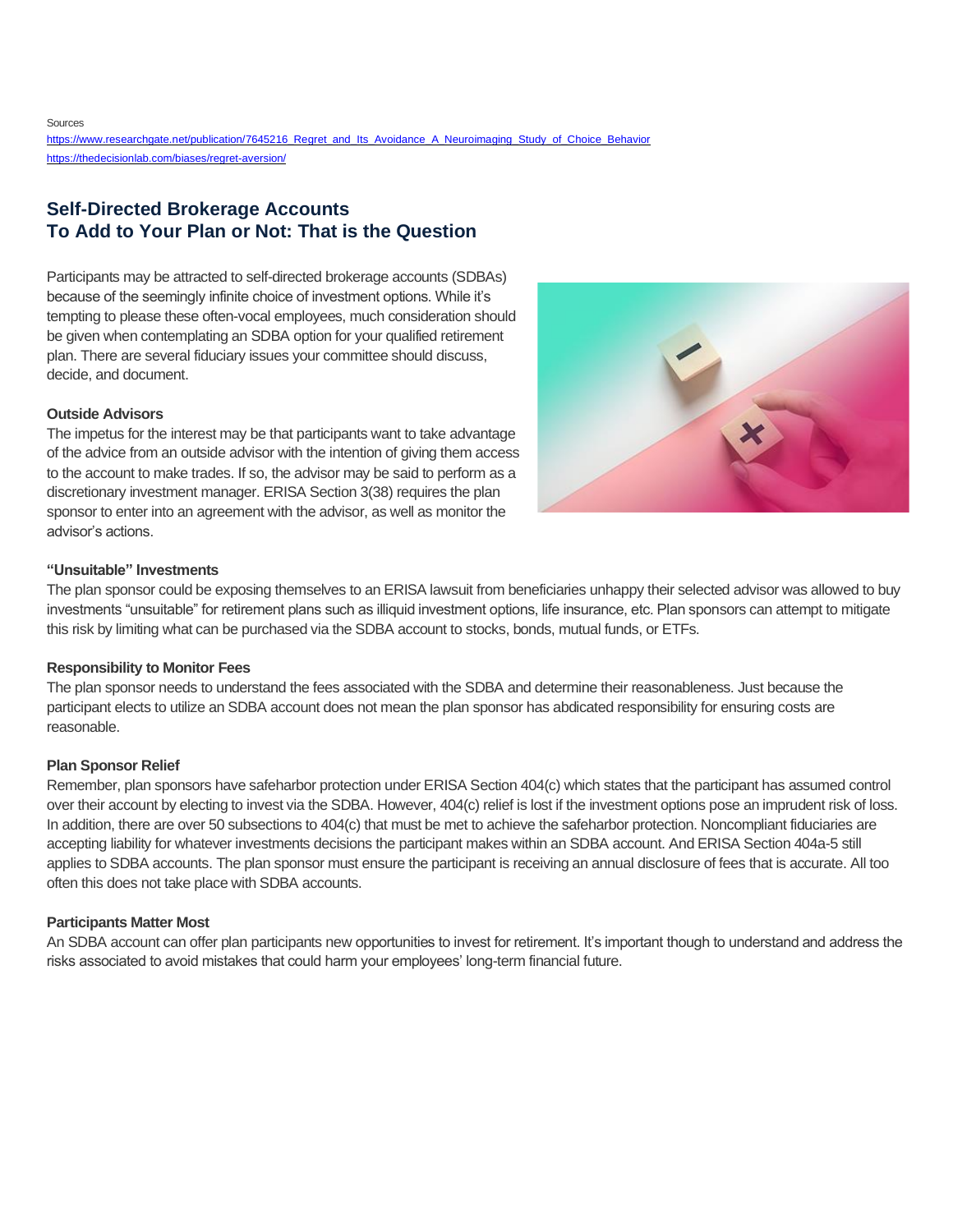Sources

[https://www.researchgate.net/publication/7645216\\_Regret\\_and\\_Its\\_Avoidance\\_A\\_Neuroimaging\\_Study\\_of\\_Choice\\_Behavior](https://www.researchgate.net/publication/7645216_Regret_and_Its_Avoidance_A_Neuroimaging_Study_of_Choice_Behavior) <https://thedecisionlab.com/biases/regret-aversion/>

# **Self-Directed Brokerage Accounts To Add to Your Plan or Not: That is the Question**

Participants may be attracted to self-directed brokerage accounts (SDBAs) because of the seemingly infinite choice of investment options. While it's tempting to please these often-vocal employees, much consideration should be given when contemplating an SDBA option for your qualified retirement plan. There are several fiduciary issues your committee should discuss, decide, and document.

## **Outside Advisors**

The impetus for the interest may be that participants want to take advantage of the advice from an outside advisor with the intention of giving them access to the account to make trades. If so, the advisor may be said to perform as a discretionary investment manager. ERISA Section 3(38) requires the plan sponsor to enter into an agreement with the advisor, as well as monitor the advisor's actions.



#### **"Unsuitable" Investments**

The plan sponsor could be exposing themselves to an ERISA lawsuit from beneficiaries unhappy their selected advisor was allowed to buy investments "unsuitable" for retirement plans such as illiquid investment options, life insurance, etc. Plan sponsors can attempt to mitigate this risk by limiting what can be purchased via the SDBA account to stocks, bonds, mutual funds, or ETFs.

#### **Responsibility to Monitor Fees**

The plan sponsor needs to understand the fees associated with the SDBA and determine their reasonableness. Just because the participant elects to utilize an SDBA account does not mean the plan sponsor has abdicated responsibility for ensuring costs are reasonable.

#### **Plan Sponsor Relief**

Remember, plan sponsors have safeharbor protection under ERISA Section 404(c) which states that the participant has assumed control over their account by electing to invest via the SDBA. However, 404(c) relief is lost if the investment options pose an imprudent risk of loss. In addition, there are over 50 subsections to 404(c) that must be met to achieve the safeharbor protection. Noncompliant fiduciaries are accepting liability for whatever investments decisions the participant makes within an SDBA account. And ERISA Section 404a-5 still applies to SDBA accounts. The plan sponsor must ensure the participant is receiving an annual disclosure of fees that is accurate. All too often this does not take place with SDBA accounts.

## **Participants Matter Most**

An SDBA account can offer plan participants new opportunities to invest for retirement. It's important though to understand and address the risks associated to avoid mistakes that could harm your employees' long-term financial future.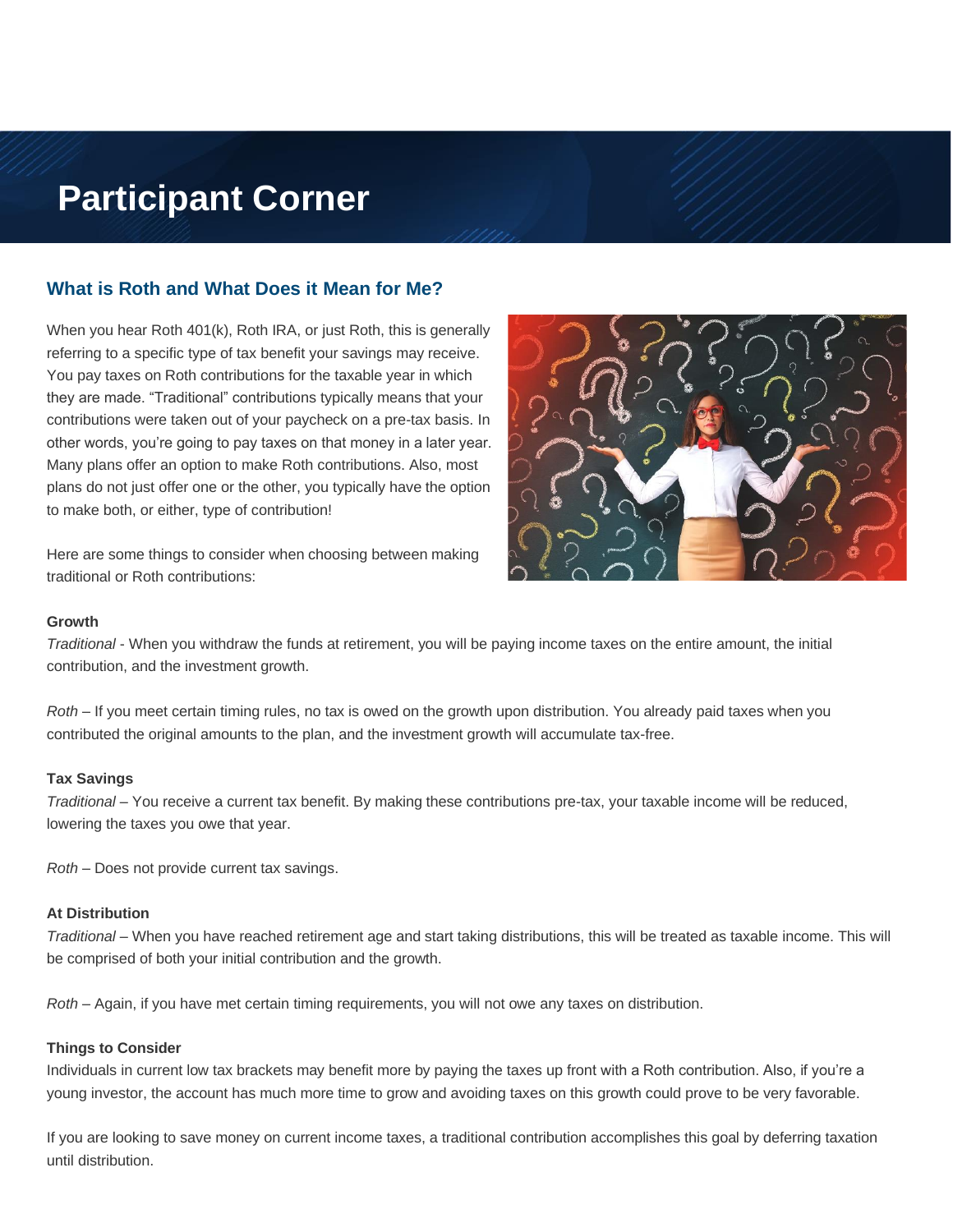# **Participant Corner**

# **What is Roth and What Does it Mean for Me?**

When you hear Roth 401(k), Roth IRA, or just Roth, this is generally referring to a specific type of tax benefit your savings may receive. You pay taxes on Roth contributions for the taxable year in which they are made. "Traditional" contributions typically means that your contributions were taken out of your paycheck on a pre-tax basis. In other words, you're going to pay taxes on that money in a later year. Many plans offer an option to make Roth contributions. Also, most plans do not just offer one or the other, you typically have the option to make both, or either, type of contribution!

Here are some things to consider when choosing between making traditional or Roth contributions:



#### **Growth**

*Traditional* - When you withdraw the funds at retirement, you will be paying income taxes on the entire amount, the initial contribution, and the investment growth.

*Roth* – If you meet certain timing rules, no tax is owed on the growth upon distribution. You already paid taxes when you contributed the original amounts to the plan, and the investment growth will accumulate tax-free.

#### **Tax Savings**

*Traditional* – You receive a current tax benefit. By making these contributions pre-tax, your taxable income will be reduced, lowering the taxes you owe that year.

*Roth* – Does not provide current tax savings.

#### **At Distribution**

*Traditional* – When you have reached retirement age and start taking distributions, this will be treated as taxable income. This will be comprised of both your initial contribution and the growth.

*Roth* – Again, if you have met certain timing requirements, you will not owe any taxes on distribution.

## **Things to Consider**

Individuals in current low tax brackets may benefit more by paying the taxes up front with a Roth contribution. Also, if you're a young investor, the account has much more time to grow and avoiding taxes on this growth could prove to be very favorable.

If you are looking to save money on current income taxes, a traditional contribution accomplishes this goal by deferring taxation until distribution.